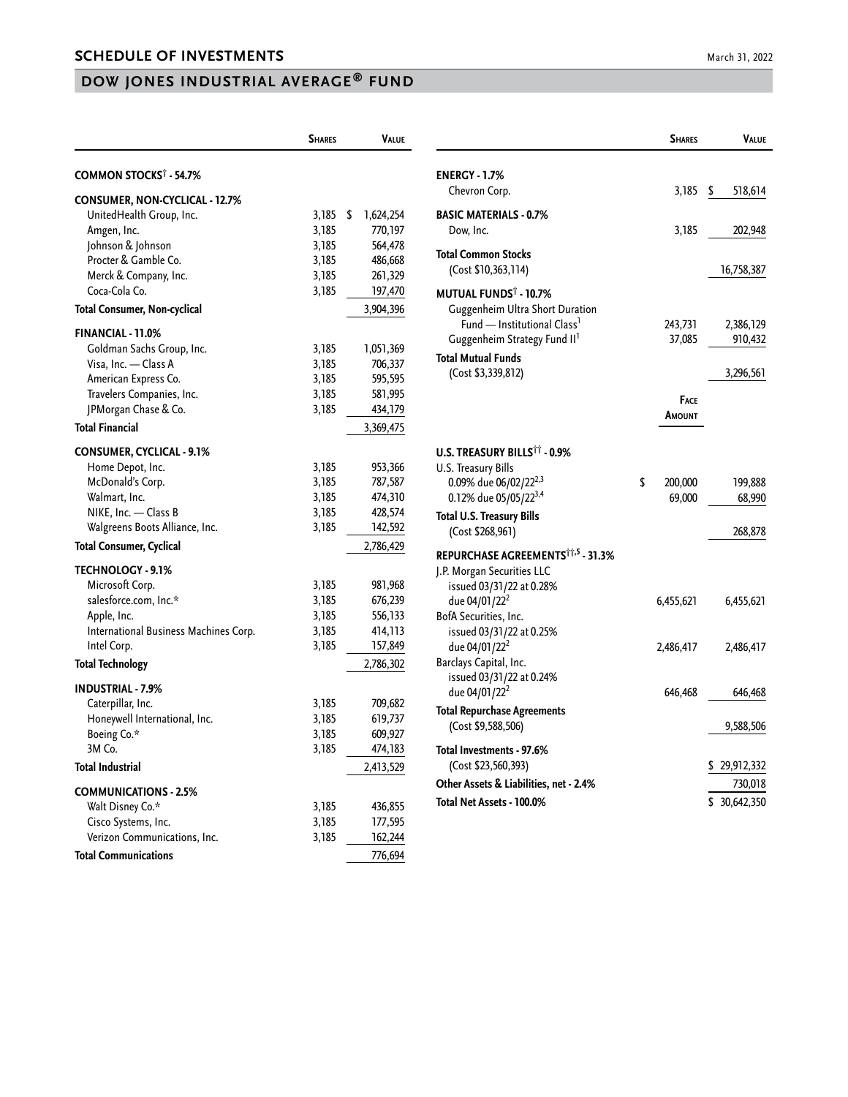## **DOW JONES INDUSTRIAL AVERAGE® FUND**

|                                          | <b>SHARES</b> | VALUE           |
|------------------------------------------|---------------|-----------------|
| <b>COMMON STOCKS<sup>†</sup> - 54.7%</b> |               |                 |
| CONSUMER, NON-CYCLICAL - 12.7%           |               |                 |
| UnitedHealth Group, Inc.                 | 3,185         | \$<br>1,624,254 |
| Amgen, Inc.                              | 3,185         | 770,197         |
| Johnson & Johnson                        | 3,185         | 564,478         |
| Procter & Gamble Co.                     | 3,185         | 486,668         |
| Merck & Company, Inc.                    | 3,185         | 261,329         |
| Coca-Cola Co.                            | 3,185         | 197,470         |
| <b>Total Consumer, Non-cyclical</b>      |               | 3,904,396       |
| <b>FINANCIAL - 11.0%</b>                 |               |                 |
| Goldman Sachs Group, Inc.                | 3,185         | 1,051,369       |
| Visa, Inc. - Class A                     | 3,185         | 706,337         |
| American Express Co.                     | 3,185         | 595,595         |
| Travelers Companies, Inc.                | 3,185         | 581,995         |
| JPMorgan Chase & Co.                     | 3,185         | 434,179         |
| <b>Total Financial</b>                   |               | 3,369,475       |
| <b>CONSUMER, CYCLICAL - 9.1%</b>         |               |                 |
| Home Depot, Inc.                         | 3,185         | 953,366         |
| McDonald's Corp.                         | 3,185         | 787,587         |
| Walmart, Inc.                            | 3,185         | 474,310         |
| NIKE, Inc. - Class B                     | 3,185         | 428,574         |
| Walgreens Boots Alliance, Inc.           | 3,185         | 142,592         |
| <b>Total Consumer, Cyclical</b>          |               | 2,786,429       |
|                                          |               |                 |
| <b>TECHNOLOGY - 9.1%</b>                 |               |                 |
| Microsoft Corp.                          | 3,185         | 981,968         |
| salesforce.com, Inc.*                    | 3,185         | 676,239         |
| Apple, Inc.                              | 3,185         | 556,133         |
| International Business Machines Corp.    | 3,185         | 414,113         |
| Intel Corp.                              | 3,185         | 157,849         |
| <b>Total Technology</b>                  |               | 2,786,302       |
| <b>INDUSTRIAL - 7.9%</b>                 |               |                 |
| Caterpillar, Inc.                        | 3,185         | 709,682         |
| Honeywell International, Inc.            | 3,185         | 619,737         |
| Boeing Co.*                              | 3,185         | 609,927         |
| 3M Co.                                   | 3,185         | 474,183         |
| <b>Total Industrial</b>                  |               | 2,413,529       |
| <b>COMMUNICATIONS - 2.5%</b>             |               |                 |
| Walt Disney Co.*                         | 3,185         | 436,855         |
| Cisco Systems, Inc.                      | 3,185         | 177,595         |
| Verizon Communications, Inc.             | 3,185         | 162,244         |
| <b>Total Communications</b>              |               | 776,694         |

|                                                                                                                                                                                                | <b>SHARES</b>           | VALUE                |
|------------------------------------------------------------------------------------------------------------------------------------------------------------------------------------------------|-------------------------|----------------------|
| <b>ENERGY - 1.7%</b>                                                                                                                                                                           |                         |                      |
| Chevron Corp.                                                                                                                                                                                  | 3,185                   | \$<br>518,614        |
| <b>BASIC MATERIALS - 0.7%</b><br>Dow, Inc.                                                                                                                                                     | 3,185                   | 202,948              |
| Total Common Stocks<br>(Cost \$10,363,114)                                                                                                                                                     |                         | 16,758,387           |
| <b>MUTUAL FUNDS<sup>T</sup> - 10.7%</b><br>Guggenheim Ultra Short Duration<br>Fund - Institutional Class <sup>1</sup><br>Guggenheim Strategy Fund II <sup>1</sup><br><b>Total Mutual Funds</b> | 243,731<br>37,085       | 2,386,129<br>910,432 |
| (Cost \$3,339,812)                                                                                                                                                                             |                         | 3,296,561            |
|                                                                                                                                                                                                | <b>FACE</b><br>Amount   |                      |
| <b>U.S. TREASURY BILLS<sup>11</sup> - 0.9%</b><br>U.S. Treasury Bills                                                                                                                          |                         |                      |
| 0.09% due 06/02/22 <sup>2,3</sup><br>0.12% due 05/05/22 <sup>3,4</sup>                                                                                                                         | \$<br>200,000<br>69,000 | 199,888<br>68,990    |
| Total U.S. Treasury Bills<br>(Cost \$268,961)                                                                                                                                                  |                         | 268,878              |
| REPURCHASE AGREEMENTS <sup>11,5</sup> - 31.3%<br>J.P. Morgan Securities LLC<br>issued 03/31/22 at 0.28%                                                                                        |                         |                      |
| due 04/01/22 <sup>2</sup><br>BofA Securities, Inc.<br>issued 03/31/22 at 0.25%                                                                                                                 | 6,455,621               | 6,455,621            |
| due 04/01/22 <sup>2</sup><br>Barclays Capital, Inc.<br>issued 03/31/22 at 0.24%                                                                                                                | 2,486,417               | 2,486,417            |
| due 04/01/22 <sup>2</sup>                                                                                                                                                                      | 646,468                 | 646,468              |
| <b>Total Repurchase Agreements</b><br>(Cost \$9,588,506)                                                                                                                                       |                         | 9,588,506            |
| Total Investments - 97.6%                                                                                                                                                                      |                         |                      |
| (Cost \$23,560,393)                                                                                                                                                                            |                         | 29,912,332           |
| Other Assets & Liabilities, net - 2.4%                                                                                                                                                         |                         | 730,018              |
| Total Net Assets - 100.0%                                                                                                                                                                      |                         | \$ 30,642,350        |